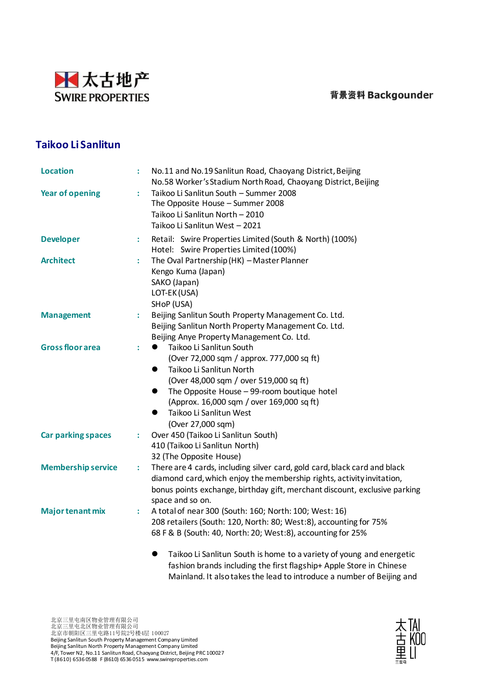### 背景资料 Backgounder



# **Taikoo Li Sanlitun**

| <b>Location</b>           |   | No.11 and No.19 Sanlitun Road, Chaoyang District, Beijing                                                                                                                                                                                                                                                                                   |  |  |  |  |
|---------------------------|---|---------------------------------------------------------------------------------------------------------------------------------------------------------------------------------------------------------------------------------------------------------------------------------------------------------------------------------------------|--|--|--|--|
| <b>Year of opening</b>    | ÷ | No.58 Worker's Stadium North Road, Chaoyang District, Beijing<br>Taikoo Li Sanlitun South - Summer 2008<br>The Opposite House - Summer 2008<br>Taikoo Li Sanlitun North - 2010<br>Taikoo Li Sanlitun West - 2021                                                                                                                            |  |  |  |  |
| <b>Developer</b>          | ÷ | Retail: Swire Properties Limited (South & North) (100%)                                                                                                                                                                                                                                                                                     |  |  |  |  |
|                           |   | Hotel: Swire Properties Limited (100%)                                                                                                                                                                                                                                                                                                      |  |  |  |  |
| <b>Architect</b>          | ÷ | The Oval Partnership (HK) - Master Planner<br>Kengo Kuma (Japan)<br>SAKO (Japan)<br>LOT-EK (USA)<br>SHOP (USA)                                                                                                                                                                                                                              |  |  |  |  |
| <b>Management</b>         | ÷ | Beijing Sanlitun South Property Management Co. Ltd.<br>Beijing Sanlitun North Property Management Co. Ltd.<br>Beijing Anye Property Management Co. Ltd.                                                                                                                                                                                     |  |  |  |  |
| <b>Gross floor area</b>   | ÷ | Taikoo Li Sanlitun South<br>$\bullet$<br>(Over 72,000 sqm / approx. 777,000 sq ft)<br>Taikoo Li Sanlitun North<br>$\bullet$<br>(Over 48,000 sqm / over 519,000 sq ft)<br>The Opposite House - 99-room boutique hotel<br>$\bullet$<br>(Approx. 16,000 sqm / over 169,000 sq ft)<br>Taikoo Li Sanlitun West<br>$\bullet$<br>(Over 27,000 sqm) |  |  |  |  |
| <b>Car parking spaces</b> | ÷ | Over 450 (Taikoo Li Sanlitun South)<br>410 (Taikoo Li Sanlitun North)<br>32 (The Opposite House)                                                                                                                                                                                                                                            |  |  |  |  |
| <b>Membership service</b> | ÷ | There are 4 cards, including silver card, gold card, black card and black<br>diamond card, which enjoy the membership rights, activity invitation,<br>bonus points exchange, birthday gift, merchant discount, exclusive parking<br>space and so on.                                                                                        |  |  |  |  |
| <b>Major tenant mix</b>   | ÷ | A total of near 300 (South: 160; North: 100; West: 16)<br>208 retailers (South: 120, North: 80; West:8), accounting for 75%<br>68 F & B (South: 40, North: 20; West:8), accounting for 25%<br>Taikoo Li Sanlitun South is home to a variety of young and energetic<br>●                                                                     |  |  |  |  |
|                           |   |                                                                                                                                                                                                                                                                                                                                             |  |  |  |  |

fashion brands including the first flagship+ Apple Store in Chinese Mainland. It also takes the lead to introduce a number of Beijing and

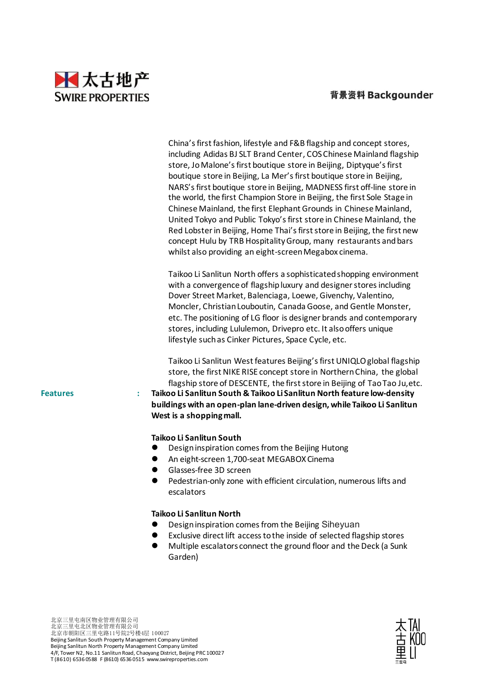#### 背景资料 Backgounder



|                 | China's first fashion, lifestyle and F&B flagship and concept stores,<br>including Adidas BJ SLT Brand Center, COS Chinese Mainland flagship<br>store, Jo Malone's first boutique store in Beijing, Diptyque's first<br>boutique store in Beijing, La Mer's first boutique store in Beijing,<br>NARS's first boutique store in Beijing, MADNESS first off-line store in<br>the world, the first Champion Store in Beijing, the first Sole Stage in<br>Chinese Mainland, the first Elephant Grounds in Chinese Mainland,<br>United Tokyo and Public Tokyo's first store in Chinese Mainland, the<br>Red Lobster in Beijing, Home Thai's first store in Beijing, the first new<br>concept Hulu by TRB Hospitality Group, many restaurants and bars<br>whilst also providing an eight-screen Megabox cinema. |
|-----------------|-----------------------------------------------------------------------------------------------------------------------------------------------------------------------------------------------------------------------------------------------------------------------------------------------------------------------------------------------------------------------------------------------------------------------------------------------------------------------------------------------------------------------------------------------------------------------------------------------------------------------------------------------------------------------------------------------------------------------------------------------------------------------------------------------------------|
|                 | Taikoo Li Sanlitun North offers a sophisticated shopping environment<br>with a convergence of flagship luxury and designer stores including<br>Dover Street Market, Balenciaga, Loewe, Givenchy, Valentino,<br>Moncler, Christian Louboutin, Canada Goose, and Gentle Monster,<br>etc. The positioning of LG floor is designer brands and contemporary<br>stores, including Lululemon, Drivepro etc. It also offers unique<br>lifestyle such as Cinker Pictures, Space Cycle, etc.                                                                                                                                                                                                                                                                                                                        |
| <b>Features</b> | Taikoo Li Sanlitun West features Beijing's first UNIQLO global flagship<br>store, the first NIKE RISE concept store in Northern China, the global<br>flagship store of DESCENTE, the first store in Beijing of Tao Tao Ju, etc.<br>Taikoo Li Sanlitun South & Taikoo Li Sanlitun North feature low-density<br>÷<br>buildings with an open-plan lane-driven design, while Taikoo Li Sanlitun<br>West is a shopping mall.                                                                                                                                                                                                                                                                                                                                                                                   |
|                 | Taikoo Li Sanlitun South<br>Design inspiration comes from the Beijing Hutong<br>An eight-screen 1,700-seat MEGABOX Cinema<br>●<br>Glasses-free 3D screen<br>Pedestrian-only zone with efficient circulation, numerous lifts and<br>$\bullet$<br>escalators                                                                                                                                                                                                                                                                                                                                                                                                                                                                                                                                                |
|                 | Taikoo Li Sanlitun North                                                                                                                                                                                                                                                                                                                                                                                                                                                                                                                                                                                                                                                                                                                                                                                  |

- ⚫ Design inspiration comes from the Beijing Siheyuan
- ⚫ Exclusive direct lift access to the inside of selected flagship stores
- ⚫ Multiple escalators connect the ground floor and the Deck (a Sunk Garden)

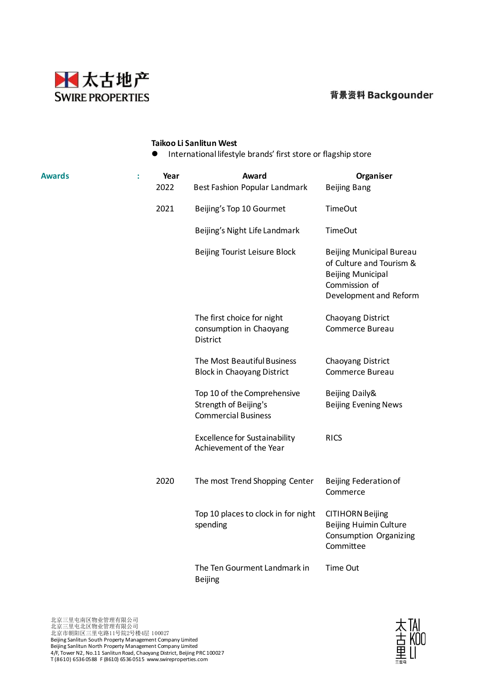



#### **Taikoo Li Sanlitun West**

⚫ International lifestyle brands' first store or flagship store

| <b>Awards</b> | $\ddot{\phantom{a}}$ | Year<br>2022 | Award<br>Best Fashion Popular Landmark                                             | Organiser<br><b>Beijing Bang</b>                                                                                                   |
|---------------|----------------------|--------------|------------------------------------------------------------------------------------|------------------------------------------------------------------------------------------------------------------------------------|
|               |                      | 2021         | Beijing's Top 10 Gourmet                                                           | <b>TimeOut</b>                                                                                                                     |
|               |                      |              | Beijing's Night Life Landmark                                                      | <b>TimeOut</b>                                                                                                                     |
|               |                      |              | Beijing Tourist Leisure Block                                                      | <b>Beijing Municipal Bureau</b><br>of Culture and Tourism &<br><b>Beijing Municipal</b><br>Commission of<br>Development and Reform |
|               |                      |              | The first choice for night<br>consumption in Chaoyang<br><b>District</b>           | Chaoyang District<br>Commerce Bureau                                                                                               |
|               |                      |              | The Most Beautiful Business<br><b>Block in Chaoyang District</b>                   | Chaoyang District<br>Commerce Bureau                                                                                               |
|               |                      |              | Top 10 of the Comprehensive<br>Strength of Beijing's<br><b>Commercial Business</b> | Beijing Daily&<br><b>Beijing Evening News</b>                                                                                      |
|               |                      |              | <b>Excellence for Sustainability</b><br>Achievement of the Year                    | <b>RICS</b>                                                                                                                        |
|               |                      | 2020         | The most Trend Shopping Center                                                     | Beijing Federation of<br>Commerce                                                                                                  |
|               |                      |              | Top 10 places to clock in for night<br>spending                                    | <b>CITIHORN Beijing</b><br><b>Beijing Huimin Culture</b><br>Consumption Organizing<br>Committee                                    |
|               |                      |              | The Ten Gourment Landmark in<br><b>Beijing</b>                                     | Time Out                                                                                                                           |

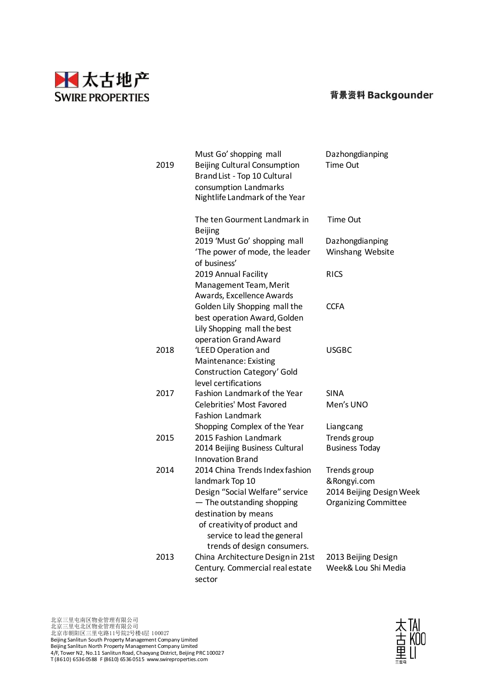



| 2019 | Must Go' shopping mall<br>Beijing Cultural Consumption<br>Brand List - Top 10 Cultural<br>consumption Landmarks<br>Nightlife Landmark of the Year                                                          | Dazhongdianping<br><b>Time Out</b>                                                      |
|------|------------------------------------------------------------------------------------------------------------------------------------------------------------------------------------------------------------|-----------------------------------------------------------------------------------------|
|      | The ten Gourment Landmark in<br><b>Beijing</b>                                                                                                                                                             | <b>Time Out</b>                                                                         |
|      | 2019 'Must Go' shopping mall<br>'The power of mode, the leader<br>of business'                                                                                                                             | Dazhongdianping<br>Winshang Website                                                     |
|      | 2019 Annual Facility<br>Management Team, Merit<br>Awards, Excellence Awards                                                                                                                                | <b>RICS</b>                                                                             |
|      | Golden Lily Shopping mall the<br>best operation Award, Golden<br>Lily Shopping mall the best                                                                                                               | <b>CCFA</b>                                                                             |
| 2018 | operation Grand Award<br>'LEED Operation and<br>Maintenance: Existing<br>Construction Category' Gold                                                                                                       | <b>USGBC</b>                                                                            |
| 2017 | level certifications<br>Fashion Landmark of the Year<br><b>Celebrities' Most Favored</b><br><b>Fashion Landmark</b>                                                                                        | <b>SINA</b><br>Men's UNO                                                                |
| 2015 | Shopping Complex of the Year<br>2015 Fashion Landmark<br>2014 Beijing Business Cultural<br><b>Innovation Brand</b>                                                                                         | Liangcang<br>Trends group<br><b>Business Today</b>                                      |
| 2014 | 2014 China Trends Index fashion<br>landmark Top 10<br>Design "Social Welfare" service<br>- The outstanding shopping<br>destination by means<br>of creativity of product and<br>service to lead the general | Trends group<br>& Rongyi.com<br>2014 Beijing Design Week<br><b>Organizing Committee</b> |
| 2013 | trends of design consumers.<br>China Architecture Design in 21st<br>Century. Commercial real estate<br>sector                                                                                              | 2013 Beijing Design<br>Week& Lou Shi Media                                              |